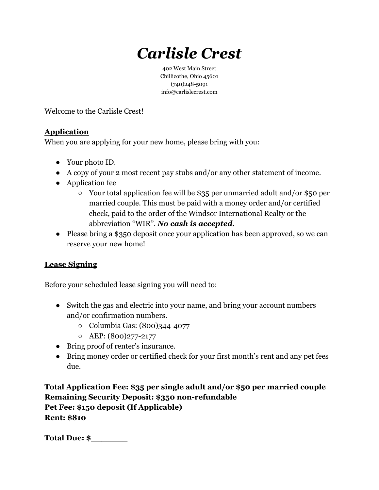# *Carlisle Crest*

402 West Main Street Chillicothe, Ohio 45601 (740)248-5091 info@carlislecrest.com

Welcome to the Carlisle Crest!

### **Application**

When you are applying for your new home, please bring with you:

- Your photo ID.
- A copy of your 2 most recent pay stubs and/or any other statement of income.
- Application fee
	- Your total application fee will be \$35 per unmarried adult and/or \$50 per married couple. This must be paid with a money order and/or certified check, paid to the order of the Windsor International Realty or the abbreviation "WIR". *No cash is accepted.*
- Please bring a \$350 deposit once your application has been approved, so we can reserve your new home!

## **Lease Signing**

Before your scheduled lease signing you will need to:

- Switch the gas and electric into your name, and bring your account numbers and/or confirmation numbers.
	- Columbia Gas: (800)344-4077
	- AEP: (800)277-2177
- Bring proof of renter's insurance.
- Bring money order or certified check for your first month's rent and any pet fees due.

**Total Application Fee: \$35 per single adult and/or \$50 per married couple Remaining Security Deposit: \$350 non-refundable Pet Fee: \$150 deposit (If Applicable) Rent: \$810**

**Total Due: \$\_\_\_\_\_\_\_**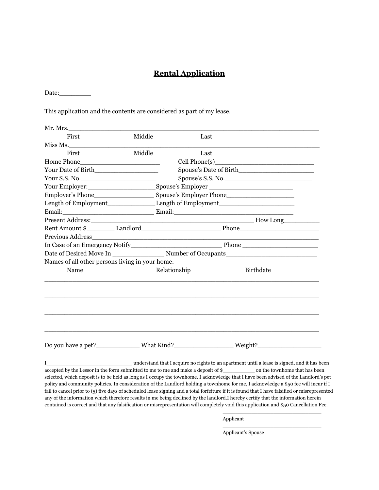#### **Rental Application**

Date:

This application and the contents are considered as part of my lease.

| Middle<br>First<br>Last<br>Miss Ms.<br>Middle<br>First<br>Last<br>Home Phone<br><u> 1989 - Johann Barn, mars eta bainar eta baina eta baina eta baina eta baina eta baina eta baina eta baina eta</u><br>Spouse's Date of Birth<br>Spouse's S.S. No.<br>Your S.S. No.<br>Names of all other persons living in your home:<br>Name<br>Relationship<br><b>Birthdate</b><br>Do you have a pet?______________What Kind?___________________Weight?_____________<br>understand that I acquire no rights to an apartment until a lease is signed, and it has been<br>T | Mr. Mrs. |  |  |  |  |
|----------------------------------------------------------------------------------------------------------------------------------------------------------------------------------------------------------------------------------------------------------------------------------------------------------------------------------------------------------------------------------------------------------------------------------------------------------------------------------------------------------------------------------------------------------------|----------|--|--|--|--|
|                                                                                                                                                                                                                                                                                                                                                                                                                                                                                                                                                                |          |  |  |  |  |
|                                                                                                                                                                                                                                                                                                                                                                                                                                                                                                                                                                |          |  |  |  |  |
|                                                                                                                                                                                                                                                                                                                                                                                                                                                                                                                                                                |          |  |  |  |  |
|                                                                                                                                                                                                                                                                                                                                                                                                                                                                                                                                                                |          |  |  |  |  |
|                                                                                                                                                                                                                                                                                                                                                                                                                                                                                                                                                                |          |  |  |  |  |
|                                                                                                                                                                                                                                                                                                                                                                                                                                                                                                                                                                |          |  |  |  |  |
|                                                                                                                                                                                                                                                                                                                                                                                                                                                                                                                                                                |          |  |  |  |  |
|                                                                                                                                                                                                                                                                                                                                                                                                                                                                                                                                                                |          |  |  |  |  |
|                                                                                                                                                                                                                                                                                                                                                                                                                                                                                                                                                                |          |  |  |  |  |
|                                                                                                                                                                                                                                                                                                                                                                                                                                                                                                                                                                |          |  |  |  |  |
|                                                                                                                                                                                                                                                                                                                                                                                                                                                                                                                                                                |          |  |  |  |  |
|                                                                                                                                                                                                                                                                                                                                                                                                                                                                                                                                                                |          |  |  |  |  |
|                                                                                                                                                                                                                                                                                                                                                                                                                                                                                                                                                                |          |  |  |  |  |
|                                                                                                                                                                                                                                                                                                                                                                                                                                                                                                                                                                |          |  |  |  |  |
|                                                                                                                                                                                                                                                                                                                                                                                                                                                                                                                                                                |          |  |  |  |  |
|                                                                                                                                                                                                                                                                                                                                                                                                                                                                                                                                                                |          |  |  |  |  |
|                                                                                                                                                                                                                                                                                                                                                                                                                                                                                                                                                                |          |  |  |  |  |
|                                                                                                                                                                                                                                                                                                                                                                                                                                                                                                                                                                |          |  |  |  |  |
|                                                                                                                                                                                                                                                                                                                                                                                                                                                                                                                                                                |          |  |  |  |  |
|                                                                                                                                                                                                                                                                                                                                                                                                                                                                                                                                                                |          |  |  |  |  |

accepted by the Lessor in the form submitted to me to me and make a deposit of \$\_\_\_\_\_\_\_\_\_\_ on the townhome that has been selected, which deposit is to be held as long as I occupy the townhome. I acknowledge that I have been advised of the Landlord's pet policy and community policies. In consideration of the Landlord holding a townhome for me, I acknowledge a \$50 fee will incur if I fail to cancel prior to (5) five days of scheduled lease signing and a total forfeiture if it is found that I have falsified or misrepresented any of the information which therefore results in me being declined by the landlord.I hereby certify that the information herein contained is correct and that any falsification or misrepresentation will completely void this application and \$50 Cancellation Fee.

Applicant

Applicant's Spouse

\_\_\_\_\_\_\_\_\_\_\_\_\_\_\_\_\_\_\_\_\_\_\_\_\_\_\_\_\_\_\_

\_\_\_\_\_\_\_\_\_\_\_\_\_\_\_\_\_\_\_\_\_\_\_\_\_\_\_\_\_\_\_